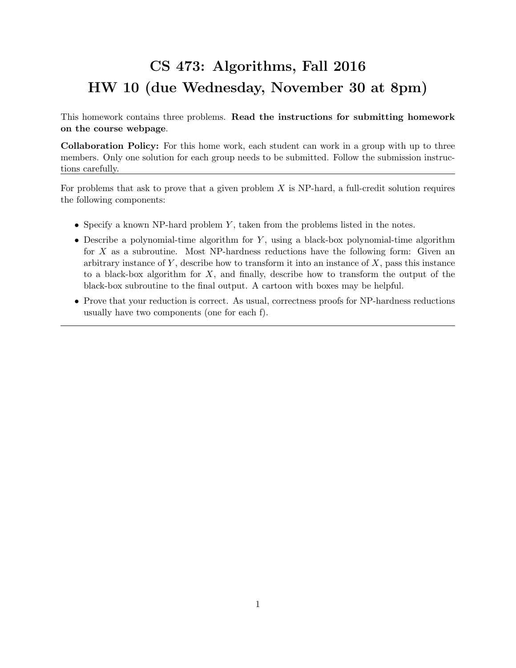## CS 473: Algorithms, Fall 2016 HW 10 (due Wednesday, November 30 at 8pm)

This homework contains three problems. Read the instructions for submitting homework on the course webpage.

Collaboration Policy: For this home work, each student can work in a group with up to three members. Only one solution for each group needs to be submitted. Follow the submission instructions carefully.

For problems that ask to prove that a given problem  $X$  is NP-hard, a full-credit solution requires the following components:

- Specify a known NP-hard problem  $Y$ , taken from the problems listed in the notes.
- Describe a polynomial-time algorithm for  $Y$ , using a black-box polynomial-time algorithm for  $X$  as a subroutine. Most NP-hardness reductions have the following form: Given an arbitrary instance of  $Y$ , describe how to transform it into an instance of  $X$ , pass this instance to a black-box algorithm for  $X$ , and finally, describe how to transform the output of the black-box subroutine to the final output. A cartoon with boxes may be helpful.
- Prove that your reduction is correct. As usual, correctness proofs for NP-hardness reductions usually have two components (one for each f).